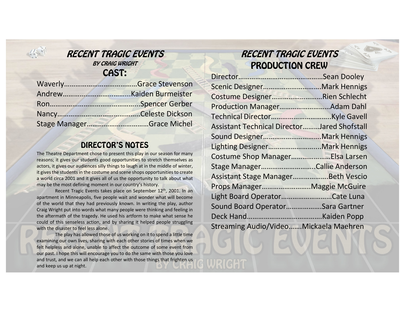

#### RECENT TRAGIC EVENTS BY CRAIG WRIGHT CAST:

| Stage ManagerGrace Michel |
|---------------------------|

#### DIRECTOR'S NOTES

The Theatre Department chose to present this play in our season for many reasons; it gives our students good opportunities to stretch themselves as actors, it gives our audiences silly things to laugh at in the middle of winter, it gives the students in the costume and scene shops opportunities to create a world circa 2001 and it gives all of us the opportunity to talk about what may be the most defining moment in our country's history.

Recent Tragic Events takes place on September 12<sup>th</sup>, 2001. In an apartment in Minneapolis, five people wait and wonder what will become of the world that they had previously known. In writing the play, author Craig Wright put into words what many people were thinking and feeling in the aftermath of the tragedy. He used his artform to make what sense he could of this senseless action, and by sharing it helped people struggling with the disaster to feel less alone.

The play has allowed those of us working on it to spend <sup>a</sup> little time examining our own lives, sharing with each other stories of times when we felt helpless and alone, unable to affect the outcome of some event from our past. I hope this will encourage you to do the same with those you love and trust, and we can all help each other with those things that frighten us and keep us up at night.

# RECENT TRAGIC EVENTSPRODUCTION CREW

| Scenic DesignerMark Hennigs                 |  |
|---------------------------------------------|--|
| Costume DesignerRien Schlecht               |  |
|                                             |  |
|                                             |  |
| Assistant Technical DirectorJared Shofstall |  |
|                                             |  |
| Lighting DesignerMark Hennigs               |  |
| Costume Shop ManagerElsa Larsen             |  |
| Stage ManagerCallie Anderson                |  |
| Assistant Stage ManagerBeth Vescio          |  |
| Props ManagerMaggie McGuire                 |  |
| Light Board OperatorCate Luna               |  |
| Sound Board OperatorSara Gartner            |  |
|                                             |  |
| Streaming Audio/VideoMickaela Maehren       |  |